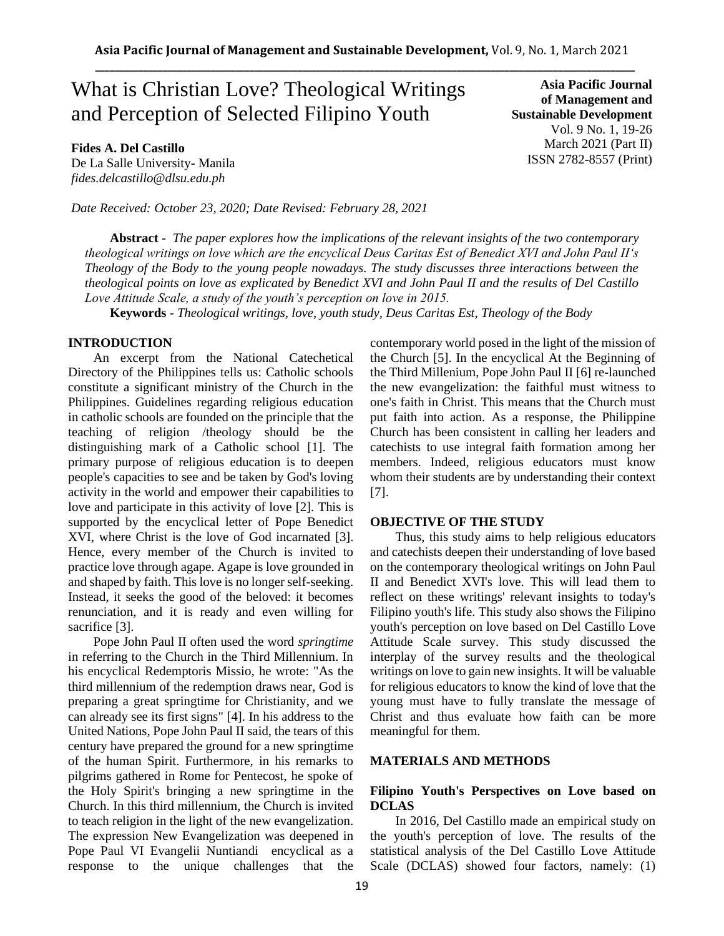# What is Christian Love? Theological Writings and Perception of Selected Filipino Youth

**Fides A. Del Castillo**

De La Salle University- Manila *fides.delcastillo@dlsu.edu.ph*

*Date Received: October 23, 2020; Date Revised: February 28, 2021*

**Asia Pacific Journal of Management and Sustainable Development**  Vol. 9 No. 1, 19-26 March 2021 (Part II) ISSN 2782-8557 (Print)

**Abstract** *- The paper explores how the implications of the relevant insights of the two contemporary theological writings on love which are the encyclical Deus Caritas Est of Benedict XVI and John Paul II's Theology of the Body to the young people nowadays. The study discusses three interactions between the theological points on love as explicated by Benedict XVI and John Paul II and the results of Del Castillo Love Attitude Scale, a study of the youth's perception on love in 2015.*

**Keywords** *- Theological writings, love, youth study, Deus Caritas Est, Theology of the Body*

## **INTRODUCTION**

An excerpt from the National Catechetical Directory of the Philippines tells us: Catholic schools constitute a significant ministry of the Church in the Philippines. Guidelines regarding religious education in catholic schools are founded on the principle that the teaching of religion /theology should be the distinguishing mark of a Catholic school [1]. The primary purpose of religious education is to deepen people's capacities to see and be taken by God's loving activity in the world and empower their capabilities to love and participate in this activity of love [2]. This is supported by the encyclical letter of Pope Benedict XVI, where Christ is the love of God incarnated [3]. Hence, every member of the Church is invited to practice love through agape. Agape is love grounded in and shaped by faith. This love is no longer self-seeking. Instead, it seeks the good of the beloved: it becomes renunciation, and it is ready and even willing for sacrifice [3].

Pope John Paul II often used the word *springtime* in referring to the Church in the Third Millennium. In his encyclical Redemptoris Missio, he wrote: "As the third millennium of the redemption draws near, God is preparing a great springtime for Christianity, and we can already see its first signs" [4]. In his address to the United Nations, Pope John Paul II said, the tears of this century have prepared the ground for a new springtime of the human Spirit. Furthermore, in his remarks to pilgrims gathered in Rome for Pentecost, he spoke of the Holy Spirit's bringing a new springtime in the Church. In this third millennium, the Church is invited to teach religion in the light of the new evangelization. The expression New Evangelization was deepened in Pope Paul VI Evangelii Nuntiandi encyclical as a response to the unique challenges that the contemporary world posed in the light of the mission of the Church [5]. In the encyclical At the Beginning of the Third Millenium, Pope John Paul II [6] re-launched the new evangelization: the faithful must witness to one's faith in Christ. This means that the Church must put faith into action. As a response, the Philippine Church has been consistent in calling her leaders and catechists to use integral faith formation among her members. Indeed, religious educators must know whom their students are by understanding their context [7].

#### **OBJECTIVE OF THE STUDY**

Thus, this study aims to help religious educators and catechists deepen their understanding of love based on the contemporary theological writings on John Paul II and Benedict XVI's love. This will lead them to reflect on these writings' relevant insights to today's Filipino youth's life. This study also shows the Filipino youth's perception on love based on Del Castillo Love Attitude Scale survey. This study discussed the interplay of the survey results and the theological writings on love to gain new insights. It will be valuable for religious educators to know the kind of love that the young must have to fully translate the message of Christ and thus evaluate how faith can be more meaningful for them.

### **MATERIALS AND METHODS**

## **Filipino Youth's Perspectives on Love based on DCLAS**

In 2016, Del Castillo made an empirical study on the youth's perception of love. The results of the statistical analysis of the Del Castillo Love Attitude Scale (DCLAS) showed four factors, namely: (1)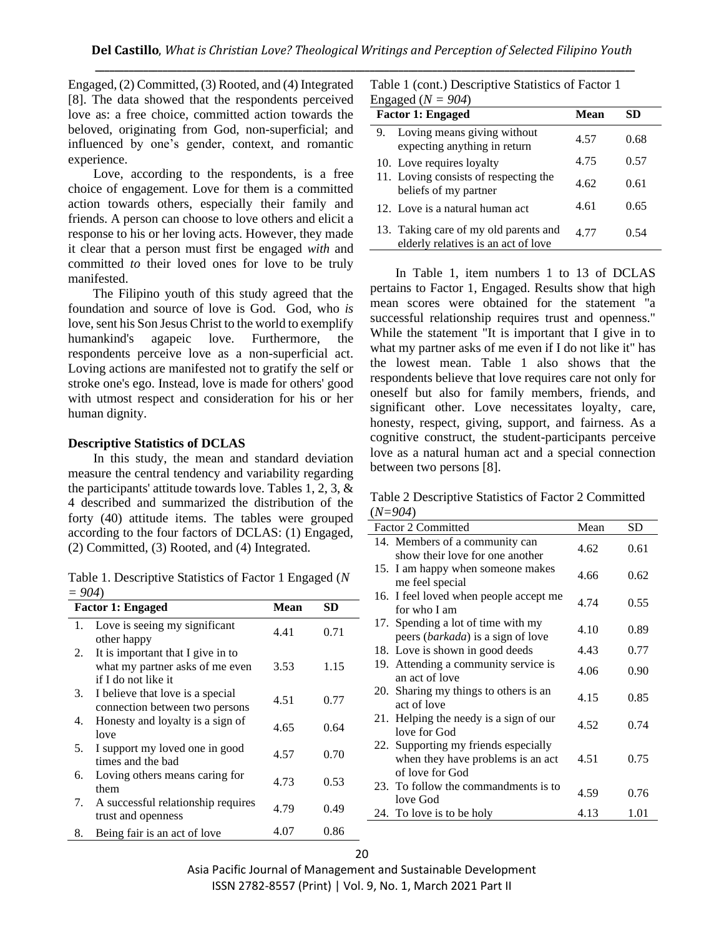Engaged, (2) Committed, (3) Rooted, and (4) Integrated [8]. The data showed that the respondents perceived love as: a free choice, committed action towards the beloved, originating from God, non-superficial; and influenced by one's gender, context, and romantic experience.

Love, according to the respondents, is a free choice of engagement. Love for them is a committed action towards others, especially their family and friends. A person can choose to love others and elicit a response to his or her loving acts. However, they made it clear that a person must first be engaged *with* and committed *to* their loved ones for love to be truly manifested.

The Filipino youth of this study agreed that the foundation and source of love is God. God, who *is* love, sent his Son Jesus Christ to the world to exemplify humankind's agapeic love. Furthermore, the respondents perceive love as a non-superficial act. Loving actions are manifested not to gratify the self or stroke one's ego. Instead, love is made for others' good with utmost respect and consideration for his or her human dignity.

### **Descriptive Statistics of DCLAS**

In this study, the mean and standard deviation measure the central tendency and variability regarding the participants' attitude towards love. Tables 1, 2, 3, & 4 described and summarized the distribution of the forty (40) attitude items. The tables were grouped according to the four factors of DCLAS: (1) Engaged, (2) Committed, (3) Rooted, and (4) Integrated.

Table 1. Descriptive Statistics of Factor 1 Engaged (*N = 904*)

| <b>Factor 1: Engaged</b> |                                                                                             | Mean | SD   |
|--------------------------|---------------------------------------------------------------------------------------------|------|------|
| 1.                       | Love is seeing my significant<br>other happy                                                | 4.41 | 0.71 |
| 2.                       | It is important that I give in to<br>what my partner asks of me even<br>if I do not like it | 3.53 | 1.15 |
| 3.                       | I believe that love is a special<br>connection between two persons                          | 4.51 | 0.77 |
| 4.                       | Honesty and loyalty is a sign of<br>love                                                    | 4.65 | 0.64 |
| 5.                       | I support my loved one in good<br>times and the bad                                         | 4.57 | 0.70 |
| 6.                       | Loving others means caring for<br>them                                                      | 4.73 | 0.53 |
| 7.                       | A successful relationship requires<br>trust and openness                                    | 4.79 | 0.49 |
| 8.                       | Being fair is an act of love                                                                | 4.07 | 0.86 |

| Table 1 (cont.) Descriptive Statistics of Factor 1 |  |
|----------------------------------------------------|--|
| Engaged ( $N = 904$ )                              |  |

|    | <b>Factor 1: Engaged</b>                                                     | Mean | SD   |
|----|------------------------------------------------------------------------------|------|------|
| 9. | Loving means giving without<br>expecting anything in return                  | 4.57 | 0.68 |
|    | 10. Love requires loyalty                                                    | 4.75 | 0.57 |
|    | 11. Loving consists of respecting the<br>beliefs of my partner               | 4.62 | 0.61 |
|    | 12. Love is a natural human act                                              | 4.61 | 0.65 |
|    | 13. Taking care of my old parents and<br>elderly relatives is an act of love | 4 77 | 0.54 |

In Table 1, item numbers 1 to 13 of DCLAS pertains to Factor 1, Engaged. Results show that high mean scores were obtained for the statement "a successful relationship requires trust and openness." While the statement "It is important that I give in to what my partner asks of me even if I do not like it" has the lowest mean. Table 1 also shows that the respondents believe that love requires care not only for oneself but also for family members, friends, and significant other. Love necessitates loyalty, care, honesty, respect, giving, support, and fairness. As a cognitive construct, the student-participants perceive love as a natural human act and a special connection between two persons [8].

Table 2 Descriptive Statistics of Factor 2 Committed (*N=904*)

| <b>Factor 2 Committed</b>                                                                    | Mean | SD   |
|----------------------------------------------------------------------------------------------|------|------|
| 14. Members of a community can<br>show their love for one another                            | 4.62 | 0.61 |
| 15. I am happy when someone makes<br>me feel special                                         | 4.66 | 0.62 |
| 16. I feel loved when people accept me<br>for who I am                                       | 4.74 | 0.55 |
| 17. Spending a lot of time with my<br>peers ( <i>barkada</i> ) is a sign of love             | 4.10 | 0.89 |
| 18. Love is shown in good deeds                                                              | 4.43 | 0.77 |
| 19. Attending a community service is<br>an act of love                                       | 4.06 | 0.90 |
| 20. Sharing my things to others is an<br>act of love                                         | 4.15 | 0.85 |
| 21. Helping the needy is a sign of our<br>love for God                                       | 4.52 | 0.74 |
| 22. Supporting my friends especially<br>when they have problems is an act<br>of love for God | 4.51 | 0.75 |
| 23. To follow the commandments is to<br>love God                                             | 4.59 | 0.76 |
| 24. To love is to be holy                                                                    | 4.13 | 1.01 |

Asia Pacific Journal of Management and Sustainable Development ISSN 2782-8557 (Print) | Vol. 9, No. 1, March 2021 Part II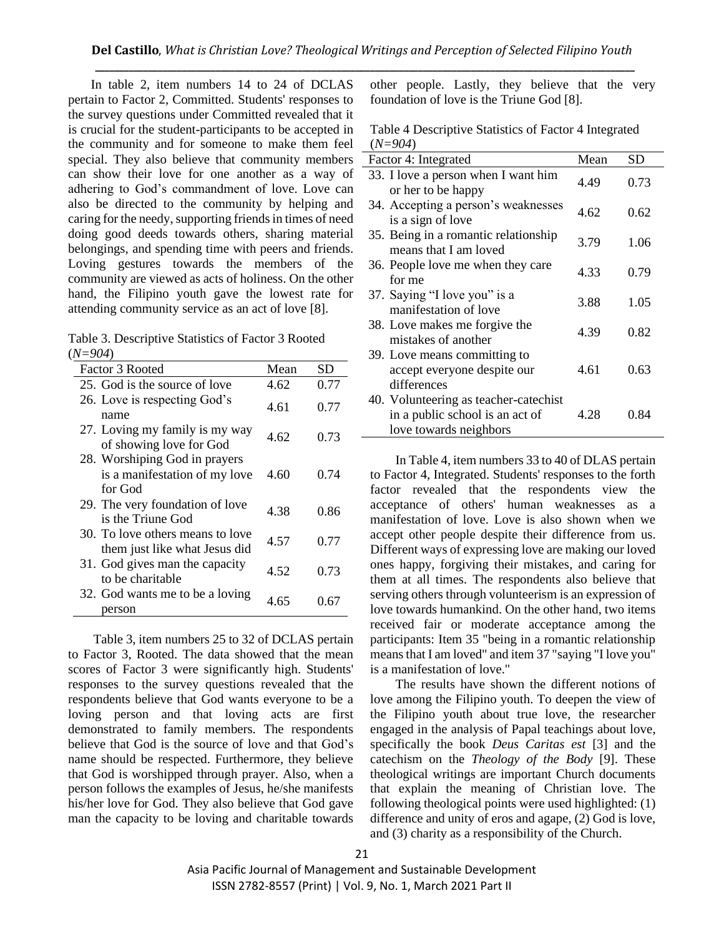In table 2, item numbers 14 to 24 of DCLAS pertain to Factor 2, Committed. Students' responses to the survey questions under Committed revealed that it is crucial for the student-participants to be accepted in the community and for someone to make them feel special. They also believe that community members can show their love for one another as a way of adhering to God's commandment of love. Love can also be directed to the community by helping and caring for the needy, supporting friends in times of need doing good deeds towards others, sharing material belongings, and spending time with peers and friends. Loving gestures towards the members of the community are viewed as acts of holiness. On the other hand, the Filipino youth gave the lowest rate for attending community service as an act of love [8].

Table 3. Descriptive Statistics of Factor 3 Rooted (*N=904*)

| Factor 3 Rooted                                                           | Mean | SD   |
|---------------------------------------------------------------------------|------|------|
| 25. God is the source of love                                             | 4.62 | 0.77 |
| 26. Love is respecting God's<br>name                                      | 4.61 | 0.77 |
| 27. Loving my family is my way<br>of showing love for God                 | 4.62 | 0.73 |
| 28. Worshiping God in prayers<br>is a manifestation of my love<br>for God | 4.60 | 0.74 |
| 29. The very foundation of love<br>is the Triune God                      | 4.38 | 0.86 |
| 30. To love others means to love<br>them just like what Jesus did         | 4.57 | 0.77 |
| 31. God gives man the capacity<br>to be charitable                        | 4.52 | 0.73 |
| 32. God wants me to be a loving<br>person                                 | 4.65 | 0.67 |

Table 3, item numbers 25 to 32 of DCLAS pertain to Factor 3, Rooted. The data showed that the mean scores of Factor 3 were significantly high. Students' responses to the survey questions revealed that the respondents believe that God wants everyone to be a loving person and that loving acts are first demonstrated to family members. The respondents believe that God is the source of love and that God's name should be respected. Furthermore, they believe that God is worshipped through prayer. Also, when a person follows the examples of Jesus, he/she manifests his/her love for God. They also believe that God gave man the capacity to be loving and charitable towards

other people. Lastly, they believe that the very foundation of love is the Triune God [8].

| Table 4 Descriptive Statistics of Factor 4 Integrated |  |
|-------------------------------------------------------|--|
| $(N=904)$                                             |  |

| Factor 4: Integrated                                                                               | Mean | SD   |
|----------------------------------------------------------------------------------------------------|------|------|
| 33. I love a person when I want him<br>or her to be happy                                          | 4.49 | 0.73 |
| 34. Accepting a person's weaknesses<br>is a sign of love                                           | 4.62 | 0.62 |
| 35. Being in a romantic relationship<br>means that I am loved                                      | 3.79 | 1.06 |
| 36. People love me when they care<br>for me                                                        | 4.33 | 0.79 |
| 37. Saying "I love you" is a<br>manifestation of love                                              | 3.88 | 1.05 |
| 38. Love makes me forgive the<br>mistakes of another                                               | 4.39 | 0.82 |
| 39. Love means committing to<br>accept everyone despite our<br>differences                         | 4.61 | 0.63 |
| 40. Volunteering as teacher-catechist<br>in a public school is an act of<br>love towards neighbors | 4.28 | 0.84 |

In Table 4, item numbers 33 to 40 of DLAS pertain to Factor 4, Integrated. Students' responses to the forth factor revealed that the respondents view the acceptance of others' human weaknesses as a manifestation of love. Love is also shown when we accept other people despite their difference from us. Different ways of expressing love are making our loved ones happy, forgiving their mistakes, and caring for them at all times. The respondents also believe that serving others through volunteerism is an expression of love towards humankind. On the other hand, two items received fair or moderate acceptance among the participants: Item 35 "being in a romantic relationship means that I am loved" and item 37 "saying "I love you" is a manifestation of love."

The results have shown the different notions of love among the Filipino youth. To deepen the view of the Filipino youth about true love, the researcher engaged in the analysis of Papal teachings about love, specifically the book *Deus Caritas est* [3] and the catechism on the *Theology of the Body* [9]. These theological writings are important Church documents that explain the meaning of Christian love. The following theological points were used highlighted: (1) difference and unity of eros and agape, (2) God is love, and (3) charity as a responsibility of the Church.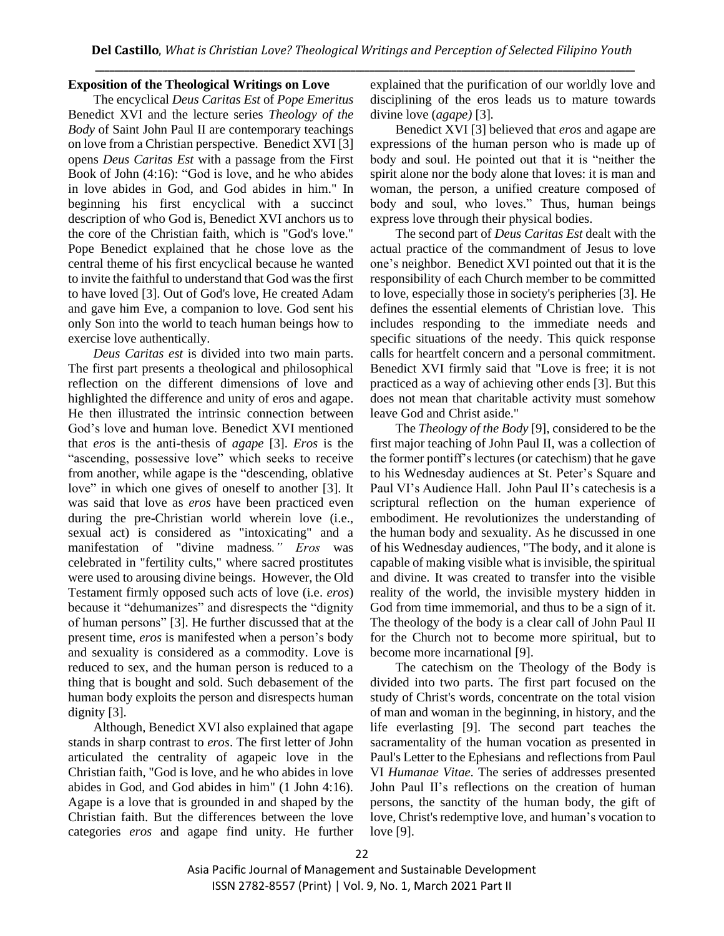## **Exposition of the Theological Writings on Love**

The encyclical *Deus Caritas Est* of *Pope Emeritus*  Benedict XVI and the lecture series *Theology of the Body* of Saint John Paul II are contemporary teachings on love from a Christian perspective. Benedict XVI [3] opens *Deus Caritas Est* with a passage from the First Book of John (4:16): "God is love, and he who abides in love abides in God, and God abides in him." In beginning his first encyclical with a succinct description of who God is, Benedict XVI anchors us to the core of the Christian faith, which is "God's love." Pope Benedict explained that he chose love as the central theme of his first encyclical because he wanted to invite the faithful to understand that God was the first to have loved [3]. Out of God's love, He created Adam and gave him Eve, a companion to love. God sent his only Son into the world to teach human beings how to exercise love authentically.

*Deus Caritas est* is divided into two main parts. The first part presents a theological and philosophical reflection on the different dimensions of love and highlighted the difference and unity of eros and agape. He then illustrated the intrinsic connection between God's love and human love. Benedict XVI mentioned that *eros* is the anti-thesis of *agape* [3]. *Eros* is the "ascending, possessive love" which seeks to receive from another, while agape is the "descending, oblative love" in which one gives of oneself to another [3]. It was said that love as *eros* have been practiced even during the pre-Christian world wherein love (i.e., sexual act) is considered as "intoxicating" and a manifestation of "divine madness*." Eros* was celebrated in "fertility cults," where sacred prostitutes were used to arousing divine beings. However, the Old Testament firmly opposed such acts of love (i.e. *eros*) because it "dehumanizes" and disrespects the "dignity of human persons" [3]. He further discussed that at the present time, *eros* is manifested when a person's body and sexuality is considered as a commodity. Love is reduced to sex, and the human person is reduced to a thing that is bought and sold. Such debasement of the human body exploits the person and disrespects human dignity [3].

Although, Benedict XVI also explained that agape stands in sharp contrast to *eros*. The first letter of John articulated the centrality of agapeic love in the Christian faith, "God is love, and he who abides in love abides in God, and God abides in him" (1 John 4:16). Agape is a love that is grounded in and shaped by the Christian faith. But the differences between the love categories *eros* and agape find unity. He further explained that the purification of our worldly love and disciplining of the eros leads us to mature towards divine love (*agape)* [3]*.*

Benedict XVI [3] believed that *eros* and agape are expressions of the human person who is made up of body and soul. He pointed out that it is "neither the spirit alone nor the body alone that loves: it is man and woman, the person, a unified creature composed of body and soul, who loves." Thus, human beings express love through their physical bodies.

The second part of *Deus Caritas Est* dealt with the actual practice of the commandment of Jesus to love one's neighbor. Benedict XVI pointed out that it is the responsibility of each Church member to be committed to love, especially those in society's peripheries [3]. He defines the essential elements of Christian love. This includes responding to the immediate needs and specific situations of the needy. This quick response calls for heartfelt concern and a personal commitment. Benedict XVI firmly said that "Love is free; it is not practiced as a way of achieving other ends [3]. But this does not mean that charitable activity must somehow leave God and Christ aside."

The *Theology of the Body* [9], considered to be the first major teaching of John Paul II, was a collection of the former pontiff's lectures (or catechism) that he gave to his Wednesday audiences at St. Peter's Square and Paul VI's Audience Hall. John Paul II's catechesis is a scriptural reflection on the human experience of embodiment. He revolutionizes the understanding of the human body and sexuality. As he discussed in one of his Wednesday audiences, "The body, and it alone is capable of making visible what is invisible, the spiritual and divine. It was created to transfer into the visible reality of the world, the invisible mystery hidden in God from time immemorial, and thus to be a sign of it. The theology of the body is a clear call of John Paul II for the Church not to become more spiritual, but to become more incarnational [9].

The catechism on the Theology of the Body is divided into two parts. The first part focused on the study of Christ's words, concentrate on the total vision of man and woman in the beginning, in history, and the life everlasting [9]. The second part teaches the sacramentality of the human vocation as presented in Paul's Letter to the Ephesians and reflections from Paul VI *Humanae Vitae.* The series of addresses presented John Paul II's reflections on the creation of human persons, the sanctity of the human body, the gift of love, Christ's redemptive love, and human's vocation to love [9].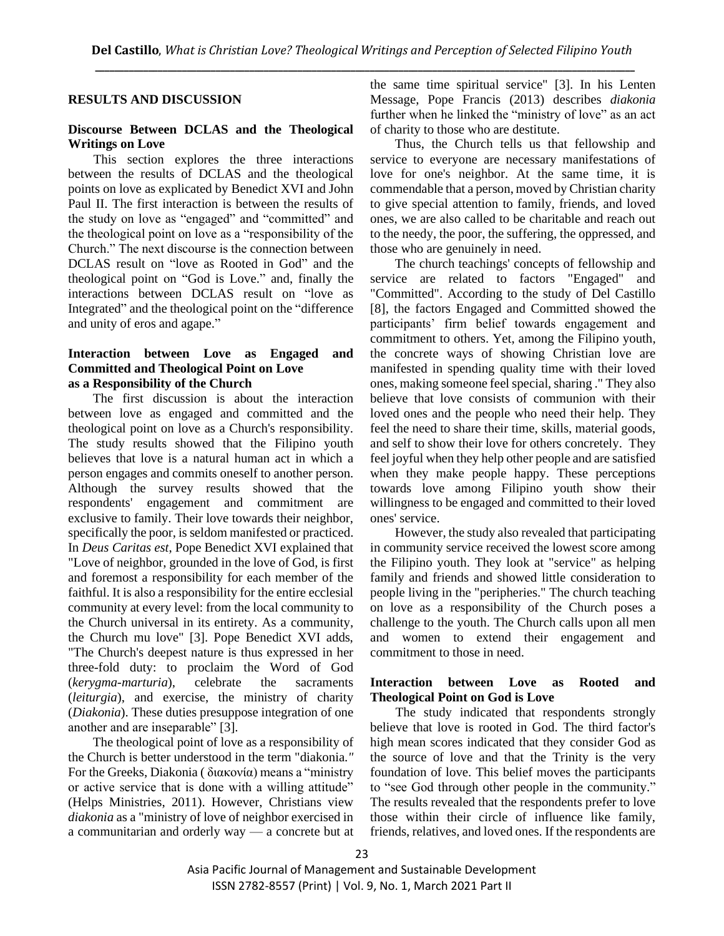## **RESULTS AND DISCUSSION**

## **Discourse Between DCLAS and the Theological Writings on Love**

This section explores the three interactions between the results of DCLAS and the theological points on love as explicated by Benedict XVI and John Paul II. The first interaction is between the results of the study on love as "engaged" and "committed" and the theological point on love as a "responsibility of the Church." The next discourse is the connection between DCLAS result on "love as Rooted in God" and the theological point on "God is Love." and, finally the interactions between DCLAS result on "love as Integrated" and the theological point on the "difference and unity of eros and agape."

## **Interaction between Love as Engaged and Committed and Theological Point on Love as a Responsibility of the Church**

The first discussion is about the interaction between love as engaged and committed and the theological point on love as a Church's responsibility. The study results showed that the Filipino youth believes that love is a natural human act in which a person engages and commits oneself to another person. Although the survey results showed that the respondents' engagement and commitment are exclusive to family. Their love towards their neighbor, specifically the poor, is seldom manifested or practiced. In *Deus Caritas est*, Pope Benedict XVI explained that "Love of neighbor, grounded in the love of God, is first and foremost a responsibility for each member of the faithful. It is also a responsibility for the entire ecclesial community at every level: from the local community to the Church universal in its entirety. As a community, the Church mu love" [3]. Pope Benedict XVI adds, "The Church's deepest nature is thus expressed in her three-fold duty: to proclaim the Word of God (*kerygma-marturia*), celebrate the sacraments (*leiturgia*), and exercise, the ministry of charity (*Diakonia*). These duties presuppose integration of one another and are inseparable" [3].

The theological point of love as a responsibility of the Church is better understood in the term "diakonia*."*  For the Greeks, Diakonia ( [διακονία\)](http://biblehub.com/greek/1248.htm) means a "ministry or active service that is done with a willing attitude" (Helps Ministries, 2011). However, Christians view *diakonia* as a "ministry of love of neighbor exercised in a communitarian and orderly way — a concrete but at

the same time spiritual service" [3]. In his Lenten Message, Pope Francis (2013) describes *diakonia* further when he linked the "ministry of love" as an act of charity to those who are destitute.

Thus, the Church tells us that fellowship and service to everyone are necessary manifestations of love for one's neighbor. At the same time, it is commendable that a person, moved by Christian charity to give special attention to family, friends, and loved ones, we are also called to be charitable and reach out to the needy, the poor, the suffering, the oppressed, and those who are genuinely in need.

The church teachings' concepts of fellowship and service are related to factors "Engaged" and "Committed". According to the study of Del Castillo [8], the factors Engaged and Committed showed the participants' firm belief towards engagement and commitment to others. Yet, among the Filipino youth, the concrete ways of showing Christian love are manifested in spending quality time with their loved ones, making someone feel special, sharing ." They also believe that love consists of communion with their loved ones and the people who need their help. They feel the need to share their time, skills, material goods, and self to show their love for others concretely. They feel joyful when they help other people and are satisfied when they make people happy. These perceptions towards love among Filipino youth show their willingness to be engaged and committed to their loved ones' service.

However, the study also revealed that participating in community service received the lowest score among the Filipino youth. They look at "service" as helping family and friends and showed little consideration to people living in the "peripheries." The church teaching on love as a responsibility of the Church poses a challenge to the youth. The Church calls upon all men and women to extend their engagement and commitment to those in need.

## **Interaction between Love as Rooted and Theological Point on God is Love**

The study indicated that respondents strongly believe that love is rooted in God. The third factor's high mean scores indicated that they consider God as the source of love and that the Trinity is the very foundation of love. This belief moves the participants to "see God through other people in the community." The results revealed that the respondents prefer to love those within their circle of influence like family, friends, relatives, and loved ones. If the respondents are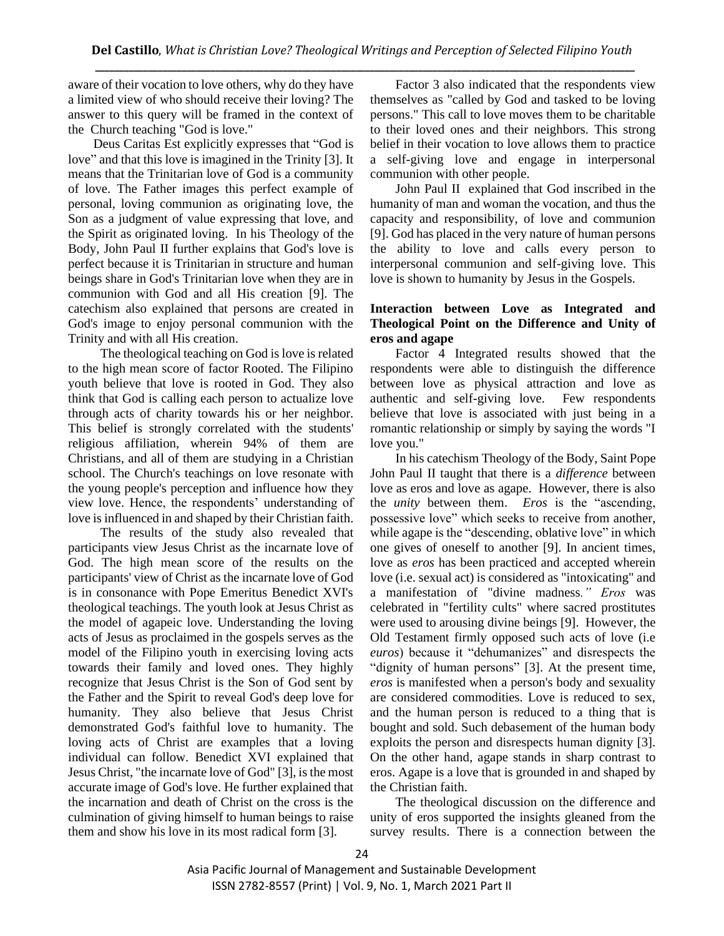aware of their vocation to love others, why do they have a limited view of who should receive their loving? The answer to this query will be framed in the context of the Church teaching "God is love."

Deus Caritas Est explicitly expresses that "God is love" and that this love is imagined in the Trinity [3]. It means that the Trinitarian love of God is a community of love. The Father images this perfect example of personal, loving communion as originating love, the Son as a judgment of value expressing that love, and the Spirit as originated loving. In his Theology of the Body, John Paul II further explains that God's love is perfect because it is Trinitarian in structure and human beings share in God's Trinitarian love when they are in communion with God and all His creation [9]. The catechism also explained that persons are created in God's image to enjoy personal communion with the Trinity and with all His creation.

The theological teaching on God is love is related to the high mean score of factor Rooted. The Filipino youth believe that love is rooted in God. They also think that God is calling each person to actualize love through acts of charity towards his or her neighbor. This belief is strongly correlated with the students' religious affiliation, wherein 94% of them are Christians, and all of them are studying in a Christian school. The Church's teachings on love resonate with the young people's perception and influence how they view love. Hence, the respondents' understanding of love is influenced in and shaped by their Christian faith.

The results of the study also revealed that participants view Jesus Christ as the incarnate love of God. The high mean score of the results on the participants' view of Christ as the incarnate love of God is in consonance with Pope Emeritus Benedict XVI's theological teachings. The youth look at Jesus Christ as the model of agapeic love. Understanding the loving acts of Jesus as proclaimed in the gospels serves as the model of the Filipino youth in exercising loving acts towards their family and loved ones. They highly recognize that Jesus Christ is the Son of God sent by the Father and the Spirit to reveal God's deep love for humanity. They also believe that Jesus Christ demonstrated God's faithful love to humanity. The loving acts of Christ are examples that a loving individual can follow. Benedict XVI explained that Jesus Christ, "the incarnate love of God" [3], is the most accurate image of God's love. He further explained that the incarnation and death of Christ on the cross is the culmination of giving himself to human beings to raise them and show his love in its most radical form [3].

Factor 3 also indicated that the respondents view themselves as "called by God and tasked to be loving persons." This call to love moves them to be charitable to their loved ones and their neighbors. This strong belief in their vocation to love allows them to practice a self-giving love and engage in interpersonal communion with other people.

John Paul II explained that God inscribed in the humanity of man and woman the vocation, and thus the capacity and responsibility, of love and communion [9]. God has placed in the very nature of human persons the ability to love and calls every person to interpersonal communion and self-giving love. This love is shown to humanity by Jesus in the Gospels.

# **Interaction between Love as Integrated and Theological Point on the Difference and Unity of eros and agape**

Factor 4 Integrated results showed that the respondents were able to distinguish the difference between love as physical attraction and love as authentic and self-giving love. Few respondents believe that love is associated with just being in a romantic relationship or simply by saying the words "I love you."

In his catechism Theology of the Body, Saint Pope John Paul II taught that there is a *difference* between love as eros and love as agape. However, there is also the *unity* between them. *Eros* is the "ascending, possessive love" which seeks to receive from another, while agape is the "descending, oblative love" in which one gives of oneself to another [9]. In ancient times, love as *eros* has been practiced and accepted wherein love (i.e. sexual act) is considered as "intoxicating" and a manifestation of "divine madness*." Eros* was celebrated in "fertility cults" where sacred prostitutes were used to arousing divine beings [9]. However, the Old Testament firmly opposed such acts of love (i.e *euros*) because it "dehumanizes" and disrespects the "dignity of human persons" [3]. At the present time, *eros* is manifested when a person's body and sexuality are considered commodities. Love is reduced to sex, and the human person is reduced to a thing that is bought and sold. Such debasement of the human body exploits the person and disrespects human dignity [3]. On the other hand*,* agape stands in sharp contrast to eros. Agape is a love that is grounded in and shaped by the Christian faith.

The theological discussion on the difference and unity of eros supported the insights gleaned from the survey results. There is a connection between the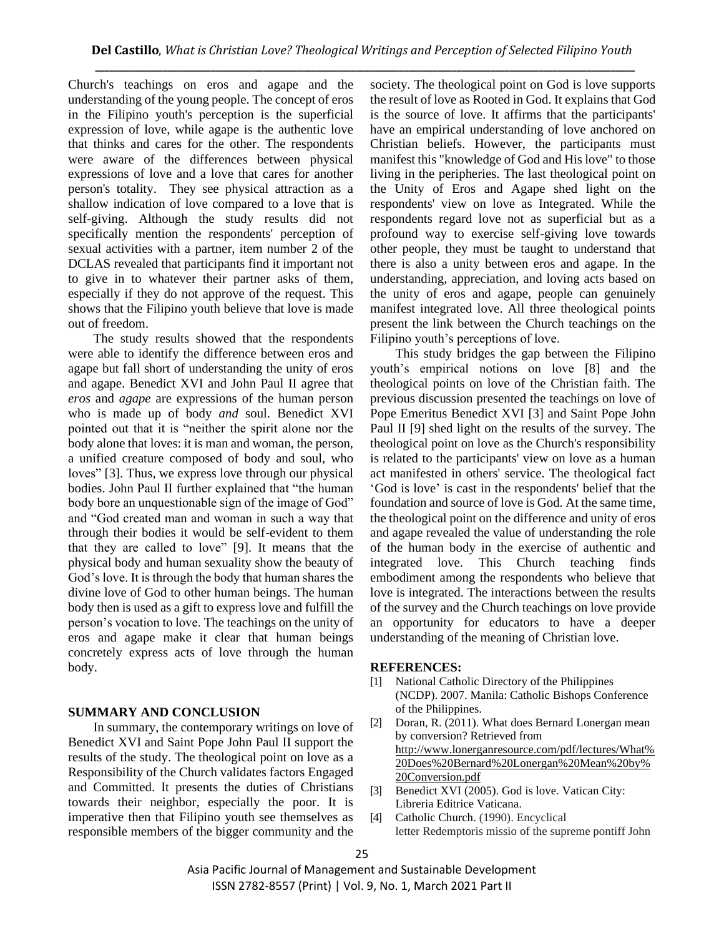Church's teachings on eros and agape and the understanding of the young people. The concept of eros in the Filipino youth's perception is the superficial expression of love, while agape is the authentic love that thinks and cares for the other. The respondents were aware of the differences between physical expressions of love and a love that cares for another person's totality. They see physical attraction as a shallow indication of love compared to a love that is self-giving. Although the study results did not specifically mention the respondents' perception of sexual activities with a partner, item number 2 of the DCLAS revealed that participants find it important not to give in to whatever their partner asks of them, especially if they do not approve of the request. This shows that the Filipino youth believe that love is made out of freedom.

The study results showed that the respondents were able to identify the difference between eros and agape but fall short of understanding the unity of eros and agape. Benedict XVI and John Paul II agree that *eros* and *agape* are expressions of the human person who is made up of body *and* soul. Benedict XVI pointed out that it is "neither the spirit alone nor the body alone that loves: it is man and woman, the person, a unified creature composed of body and soul, who loves" [3]. Thus, we express love through our physical bodies. John Paul II further explained that "the human body bore an unquestionable sign of the image of God" and "God created man and woman in such a way that through their bodies it would be self-evident to them that they are called to love" [9]. It means that the physical body and human sexuality show the beauty of God's love. It is through the body that human shares the divine love of God to other human beings. The human body then is used as a gift to express love and fulfill the person's vocation to love. The teachings on the unity of eros and agape make it clear that human beings concretely express acts of love through the human body.

# **SUMMARY AND CONCLUSION**

In summary, the contemporary writings on love of Benedict XVI and Saint Pope John Paul II support the results of the study. The theological point on love as a Responsibility of the Church validates factors Engaged and Committed. It presents the duties of Christians towards their neighbor, especially the poor. It is imperative then that Filipino youth see themselves as responsible members of the bigger community and the

society. The theological point on God is love supports the result of love as Rooted in God. It explains that God is the source of love. It affirms that the participants' have an empirical understanding of love anchored on Christian beliefs. However, the participants must manifest this "knowledge of God and His love" to those living in the peripheries. The last theological point on the Unity of Eros and Agape shed light on the respondents' view on love as Integrated. While the respondents regard love not as superficial but as a profound way to exercise self-giving love towards other people, they must be taught to understand that there is also a unity between eros and agape. In the understanding, appreciation, and loving acts based on the unity of eros and agape, people can genuinely manifest integrated love. All three theological points present the link between the Church teachings on the Filipino youth's perceptions of love.

This study bridges the gap between the Filipino youth's empirical notions on love [8] and the theological points on love of the Christian faith. The previous discussion presented the teachings on love of Pope Emeritus Benedict XVI [3] and Saint Pope John Paul II [9] shed light on the results of the survey. The theological point on love as the Church's responsibility is related to the participants' view on love as a human act manifested in others' service. The theological fact 'God is love' is cast in the respondents' belief that the foundation and source of love is God. At the same time, the theological point on the difference and unity of eros and agape revealed the value of understanding the role of the human body in the exercise of authentic and integrated love. This Church teaching finds embodiment among the respondents who believe that love is integrated. The interactions between the results of the survey and the Church teachings on love provide an opportunity for educators to have a deeper understanding of the meaning of Christian love.

## **REFERENCES:**

- [1] National Catholic Directory of the Philippines (NCDP). 2007. Manila: Catholic Bishops Conference of the Philippines.
- [2] Doran, R. (2011). What does Bernard Lonergan mean by conversion? Retrieved from [http://www.lonerganresource.com/pdf/lectures/What%](http://www.lonerganresource.com/pdf/lectures/What%20Does%20Bernard%20Lonergan%20Mean%20by%20Conversion.pdf) [20Does%20Bernard%20Lonergan%20Mean%20by%](http://www.lonerganresource.com/pdf/lectures/What%20Does%20Bernard%20Lonergan%20Mean%20by%20Conversion.pdf) [20Conversion.pdf](http://www.lonerganresource.com/pdf/lectures/What%20Does%20Bernard%20Lonergan%20Mean%20by%20Conversion.pdf)
- [3] Benedict XVI (2005). God is love. Vatican City: Libreria Editrice Vaticana.
- [4] Catholic Church. (1990). Encyclical letter Redemptoris missio of the supreme pontiff John

Asia Pacific Journal of Management and Sustainable Development ISSN 2782-8557 (Print) | Vol. 9, No. 1, March 2021 Part II